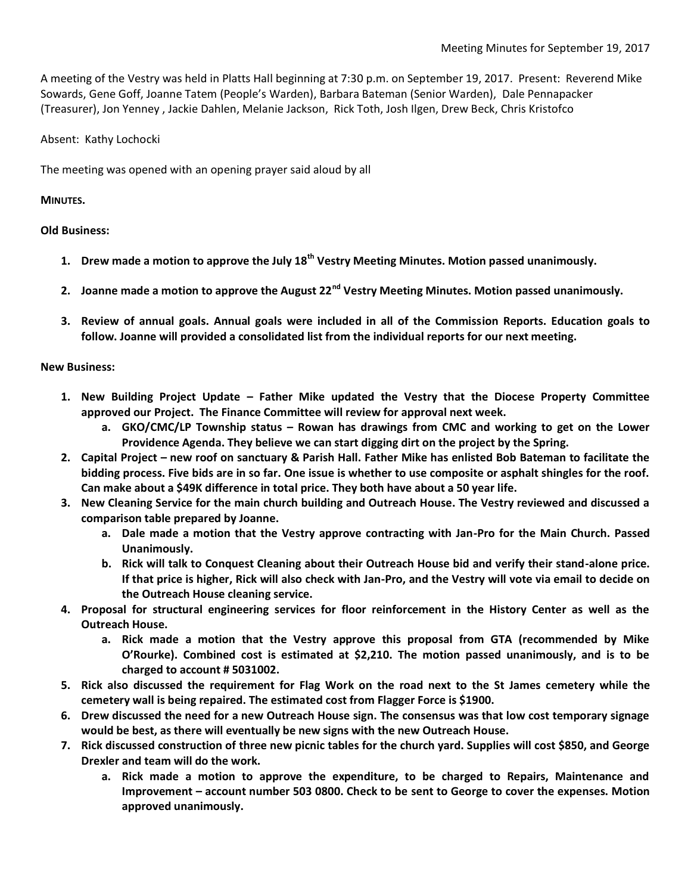A meeting of the Vestry was held in Platts Hall beginning at 7:30 p.m. on September 19, 2017. Present: Reverend Mike Sowards, Gene Goff, Joanne Tatem (People's Warden), Barbara Bateman (Senior Warden), Dale Pennapacker (Treasurer), Jon Yenney , Jackie Dahlen, Melanie Jackson, Rick Toth, Josh Ilgen, Drew Beck, Chris Kristofco

Absent: Kathy Lochocki

The meeting was opened with an opening prayer said aloud by all

## **MINUTES.**

## **Old Business:**

- **1. Drew made a motion to approve the July 18th Vestry Meeting Minutes. Motion passed unanimously.**
- **2. Joanne made a motion to approve the August 22nd Vestry Meeting Minutes. Motion passed unanimously.**
- **3. Review of annual goals. Annual goals were included in all of the Commission Reports. Education goals to follow. Joanne will provided a consolidated list from the individual reports for our next meeting.**

## **New Business:**

- **1. New Building Project Update – Father Mike updated the Vestry that the Diocese Property Committee approved our Project. The Finance Committee will review for approval next week.**
	- **a. GKO/CMC/LP Township status – Rowan has drawings from CMC and working to get on the Lower Providence Agenda. They believe we can start digging dirt on the project by the Spring.**
- **2. Capital Project – new roof on sanctuary & Parish Hall. Father Mike has enlisted Bob Bateman to facilitate the bidding process. Five bids are in so far. One issue is whether to use composite or asphalt shingles for the roof. Can make about a \$49K difference in total price. They both have about a 50 year life.**
- **3. New Cleaning Service for the main church building and Outreach House. The Vestry reviewed and discussed a comparison table prepared by Joanne.** 
	- **a. Dale made a motion that the Vestry approve contracting with Jan-Pro for the Main Church. Passed Unanimously.**
	- **b. Rick will talk to Conquest Cleaning about their Outreach House bid and verify their stand-alone price. If that price is higher, Rick will also check with Jan-Pro, and the Vestry will vote via email to decide on the Outreach House cleaning service.**
- **4. Proposal for structural engineering services for floor reinforcement in the History Center as well as the Outreach House.**
	- **a. Rick made a motion that the Vestry approve this proposal from GTA (recommended by Mike O'Rourke). Combined cost is estimated at \$2,210. The motion passed unanimously, and is to be charged to account # 5031002.**
- **5. Rick also discussed the requirement for Flag Work on the road next to the St James cemetery while the cemetery wall is being repaired. The estimated cost from Flagger Force is \$1900.**
- **6. Drew discussed the need for a new Outreach House sign. The consensus was that low cost temporary signage would be best, as there will eventually be new signs with the new Outreach House.**
- **7. Rick discussed construction of three new picnic tables for the church yard. Supplies will cost \$850, and George Drexler and team will do the work.**
	- **a. Rick made a motion to approve the expenditure, to be charged to Repairs, Maintenance and Improvement – account number 503 0800. Check to be sent to George to cover the expenses. Motion approved unanimously.**